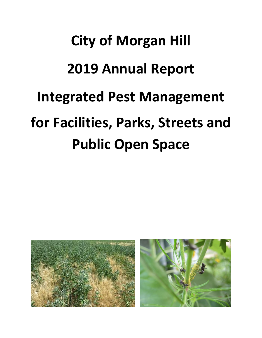# **City of Morgan Hill 2019 Annual Report Integrated Pest Management for Facilities, Parks, Streets and Public Open Space**

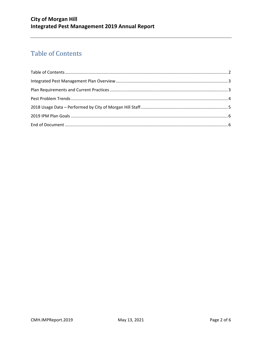## <span id="page-1-0"></span>**Table of Contents**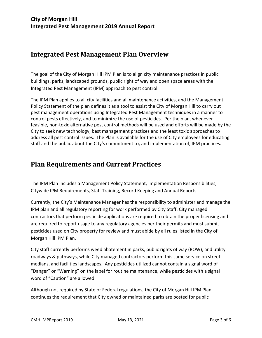#### <span id="page-2-0"></span>**Integrated Pest Management Plan Overview**

The goal of the City of Morgan Hill IPM Plan is to align city maintenance practices in public buildings, parks, landscaped grounds, public right of way and open space areas with the Integrated Pest Management (IPM) approach to pest control.

The IPM Plan applies to all city facilities and all maintenance activities, and the Management Policy Statement of the plan defines it as a tool to assist the City of Morgan Hill to carry out pest management operations using Integrated Pest Management techniques in a manner to control pests effectively, and to minimize the use of pesticides. Per the plan, whenever feasible, non-toxic alternative pest control methods will be used and efforts will be made by the City to seek new technology, best management practices and the least toxic approaches to address all pest control issues. The Plan is available for the use of City employees for educating staff and the public about the City's commitment to, and implementation of, IPM practices.

#### <span id="page-2-1"></span>**Plan Requirements and Current Practices**

The IPM Plan includes a Management Policy Statement, Implementation Responsibilities, Citywide IPM Requirements, Staff Training, Record Keeping and Annual Reports.

Currently, the City's Maintenance Manager has the responsibility to administer and manage the IPM plan and all regulatory reporting for work performed by City Staff. City managed contractors that perform pesticide applications are required to obtain the proper licensing and are required to report usage to any regulatory agencies per their permits and must submit pesticides used on City property for review and must abide by all rules listed in the City of Morgan Hill IPM Plan.

City staff currently performs weed abatement in parks, public rights of way (ROW), and utility roadways & pathways, while City managed contractors perform this same service on street medians, and facilities landscapes. Any pesticides utilized cannot contain a signal word of "Danger" or "Warning" on the label for routine maintenance, while pesticides with a signal word of "Caution" are allowed.

Although not required by State or Federal regulations, the City of Morgan Hill IPM Plan continues the requirement that City owned or maintained parks are posted for public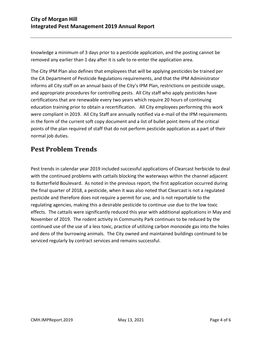knowledge a minimum of 3 days prior to a pesticide application, and the posting cannot be removed any earlier than 1 day after it is safe to re-enter the application area.

The City IPM Plan also defines that employees that will be applying pesticides be trained per the CA Department of Pesticide Regulations requirements, and that the IPM Administrator informs all City staff on an annual basis of the City's IPM Plan, restrictions on pesticide usage, and appropriate procedures for controlling pests. All City staff who apply pesticides have certifications that are renewable every two years which require 20 hours of continuing education training prior to obtain a recertification. All City employees performing this work were compliant in 2019. All City Staff are annually notified via e-mail of the IPM requirements in the form of the current soft copy document and a list of bullet point items of the critical points of the plan required of staff that do not perform pesticide application as a part of their normal job duties.

#### <span id="page-3-0"></span>**Pest Problem Trends**

Pest trends in calendar year 2019 included successful applications of Clearcast herbicide to deal with the continued problems with cattails blocking the waterways within the channel adjacent to Butterfield Boulevard. As noted in the previous report, the first application occurred during the final quarter of 2018, a pesticide, when it was also noted that Clearcast is not a regulated pesticide and therefore does not require a permit for use, and is not reportable to the regulating agencies, making this a desirable pesticide to continue use due to the low toxic effects. The cattails were significantly reduced this year with additional applications in May and November of 2019. The rodent activity in Community Park continues to be reduced by the continued use of the use of a less toxic, practice of utilizing carbon monoxide gas into the holes and dens of the burrowing animals. The City owned and maintained buildings continued to be serviced regularly by contract services and remains successful.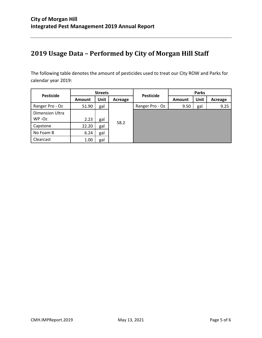### <span id="page-4-0"></span>**2019 Usage Data – Performed by City of Morgan Hill Staff**

The following table denotes the amount of pesticides used to treat our City ROW and Parks for calendar year 2019:

| <b>Pesticide</b>       | <b>Streets</b> |             |         |                  | <b>Parks</b>  |      |         |
|------------------------|----------------|-------------|---------|------------------|---------------|------|---------|
|                        | <b>Amount</b>  | <b>Unit</b> | Acreage | <b>Pesticide</b> | <b>Amount</b> | Unit | Acreage |
| Ranger Pro - Oz        | 51.90          | gal         | 58.2    | Ranger Pro - Oz  | 9.50          | gal  | 9.25    |
| <b>Dimension Ultra</b> |                |             |         |                  |               |      |         |
| WP-Oz                  | 2.23           | gal         |         |                  |               |      |         |
| Capstone               | 22.20          | gal         |         |                  |               |      |         |
| No Foam B              | 6.24           | gal         |         |                  |               |      |         |
| Clearcast              | 1.00           | gal         |         |                  |               |      |         |